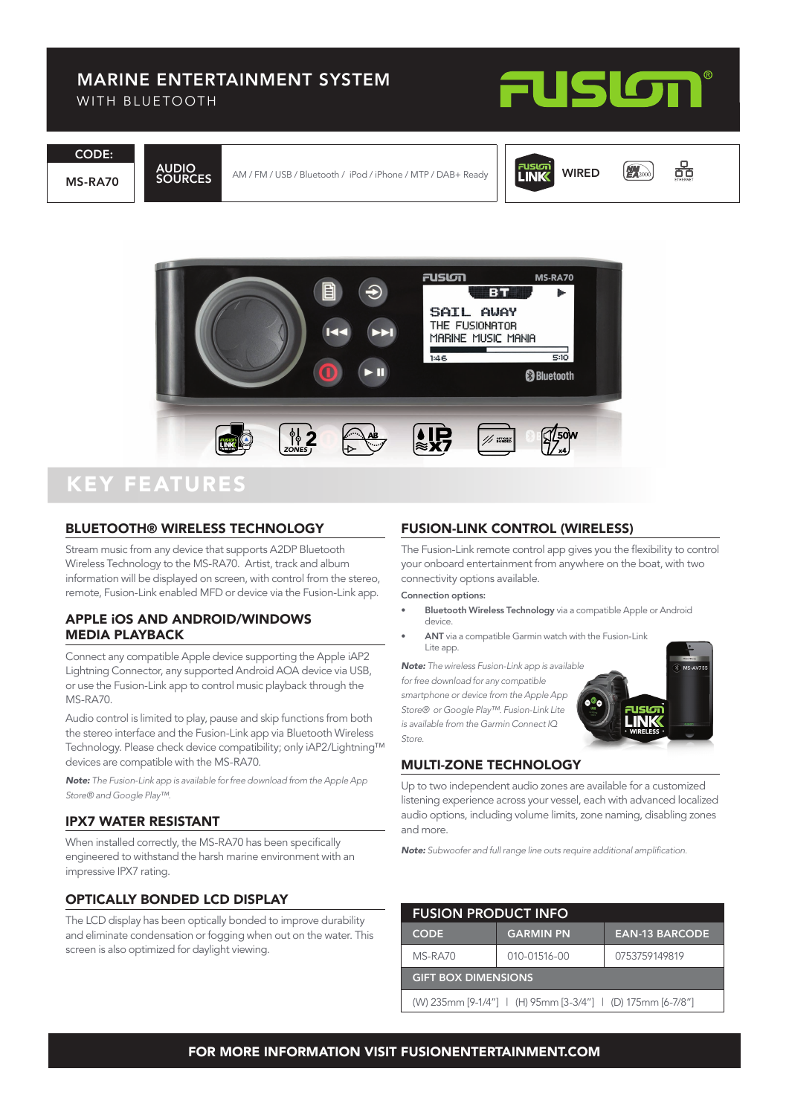### MARINE ENTERTAINMENT SYSTEM

WITH BLUFTOOTH



몲

 $M_{2000}$ 

WIRED

**LINK** 

CODE:

MS-RA70

AUDIO

AM / FM / USB / Bluetooth / iPod / iPhone / MTP / DAB+ Ready



### KEY FEATURES

#### BLUETOOTH® WIRELESS TECHNOLOGY

Stream music from any device that supports A2DP Bluetooth Wireless Technology to the MS-RA70. Artist, track and album information will be displayed on screen, with control from the stereo, remote, Fusion-Link enabled MFD or device via the Fusion-Link app.

#### APPLE iOS AND ANDROID/WINDOWS MEDIA PLAYBACK

Connect any compatible Apple device supporting the Apple iAP2 Lightning Connector, any supported Android AOA device via USB, or use the Fusion-Link app to control music playback through the MS-RA70.

Audio control is limited to play, pause and skip functions from both the stereo interface and the Fusion-Link app via Bluetooth Wireless Technology. Please check device compatibility; only iAP2/Lightning™ devices are compatible with the MS-RA70.

*Note: The Fusion-Link app is available for free download from the Apple App Store® and Google Play™.*

#### IPX7 WATER RESISTANT

When installed correctly, the MS-RA70 has been specifically engineered to withstand the harsh marine environment with an impressive IPX7 rating.

#### OPTICALLY BONDED LCD DISPLAY

The LCD display has been optically bonded to improve durability and eliminate condensation or fogging when out on the water. This screen is also optimized for daylight viewing.

#### FUSION-LINK CONTROL (WIRELESS)

The Fusion-Link remote control app gives you the flexibility to control your onboard entertainment from anywhere on the boat, with two connectivity options available.

Connection options:

- **Bluetooth Wireless Technology** via a compatible Apple or Android device.
- ANT via a compatible Garmin watch with the Fusion-Link Lite app.

*Note: The wireless Fusion-Link app is available for free download for any compatible smartphone or device from the Apple App Store® or Google Play™. Fusion-Link Lite is available from the Garmin Connect IQ Store.*

# MULTI-ZONE TECHNOLOGY

Up to two independent audio zones are available for a customized listening experience across your vessel, each with advanced localized audio options, including volume limits, zone naming, disabling zones and more.

rusig<br>Linik

*Note:* Subwoofer and full range line outs require additional amplification.

| <b>FUSION PRODUCT INFO</b>                                  |                  |                       |  |  |
|-------------------------------------------------------------|------------------|-----------------------|--|--|
| <b>CODE</b>                                                 | <b>GARMIN PN</b> | <b>EAN-13 BARCODE</b> |  |  |
| MS-RA70                                                     | 010-01516-00     | 0753759149819         |  |  |
| <b>GIFT BOX DIMENSIONS</b>                                  |                  |                       |  |  |
| (W) 235mm [9-1/4"]   (H) 95mm [3-3/4"]   (D) 175mm [6-7/8"] |                  |                       |  |  |

#### FOR MORE INFORMATION VISIT FUSIONENTERTAINMENT.COM